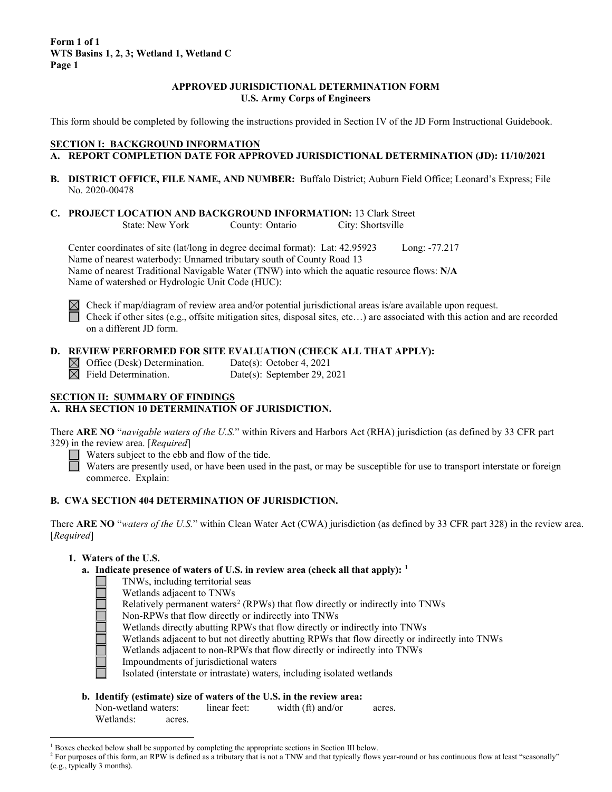## **APPROVED JURISDICTIONAL DETERMINATION FORM U.S. Army Corps of Engineers**

This form should be completed by following the instructions provided in Section IV of the JD Form Instructional Guidebook.

## **SECTION I: BACKGROUND INFORMATION**

- **A. REPORT COMPLETION DATE FOR APPROVED JURISDICTIONAL DETERMINATION (JD): 11/10/2021**
- **B. DISTRICT OFFICE, FILE NAME, AND NUMBER:** Buffalo District; Auburn Field Office; Leonard's Express; File No. 2020-00478
- **C. PROJECT LOCATION AND BACKGROUND INFORMATION:** 13 Clark Street<br>State: New York County: Ontario City: Shortsville County: Ontario City: Shortsville

Center coordinates of site (lat/long in degree decimal format): Lat: 42.95923 Long: -77.217 Name of nearest waterbody: Unnamed tributary south of County Road 13 Name of nearest Traditional Navigable Water (TNW) into which the aquatic resource flows: **N/A** Name of watershed or Hydrologic Unit Code (HUC):



Check if map/diagram of review area and/or potential jurisdictional areas is/are available upon request. Check if other sites (e.g., offsite mitigation sites, disposal sites, etc…) are associated with this action and are recorded on a different JD form.

## **D. REVIEW PERFORMED FOR SITE EVALUATION (CHECK ALL THAT APPLY):**

 $\boxtimes$  Office (Desk) Determination. Date(s): October 4, 2021<br>  $\boxtimes$  Field Determination. Date(s): September 29, 2

Date(s): September 29, 2021

## **SECTION II: SUMMARY OF FINDINGS**

## **A. RHA SECTION 10 DETERMINATION OF JURISDICTION.**

There **ARE NO** "*navigable waters of the U.S.*" within Rivers and Harbors Act (RHA) jurisdiction (as defined by 33 CFR part 329) in the review area. [*Required*]

 $\Box$  Waters subject to the ebb and flow of the tide.

Waters are presently used, or have been used in the past, or may be susceptible for use to transport interstate or foreign commerce. Explain:

## **B. CWA SECTION 404 DETERMINATION OF JURISDICTION.**

There **ARE NO** "*waters of the U.S.*" within Clean Water Act (CWA) jurisdiction (as defined by 33 CFR part 328) in the review area. [*Required*]

## **1. Waters of the U.S.**

- **a. Indicate presence of waters of U.S. in review area (check all that apply): [1](#page-0-0)**
	- TNWs, including territorial seas
	- Wetlands adjacent to TNWs
	- Relatively permanent waters<sup>[2](#page-0-1)</sup> (RPWs) that flow directly or indirectly into TNWs
	- Non-RPWs that flow directly or indirectly into TNWs
	- Wetlands directly abutting RPWs that flow directly or indirectly into TNWs
	- Wetlands adjacent to but not directly abutting RPWs that flow directly or indirectly into TNWs
	- Wetlands adjacent to non-RPWs that flow directly or indirectly into TNWs
	- Impoundments of jurisdictional waters
	- Isolated (interstate or intrastate) waters, including isolated wetlands
- **b. Identify (estimate) size of waters of the U.S. in the review area:** Non-wetland waters: linear feet: width (ft) and/or acres.

Wetlands: acres.

<span id="page-0-0"></span> $1$  Boxes checked below shall be supported by completing the appropriate sections in Section III below.

<span id="page-0-1"></span><sup>&</sup>lt;sup>2</sup> For purposes of this form, an RPW is defined as a tributary that is not a TNW and that typically flows year-round or has continuous flow at least "seasonally" (e.g., typically 3 months).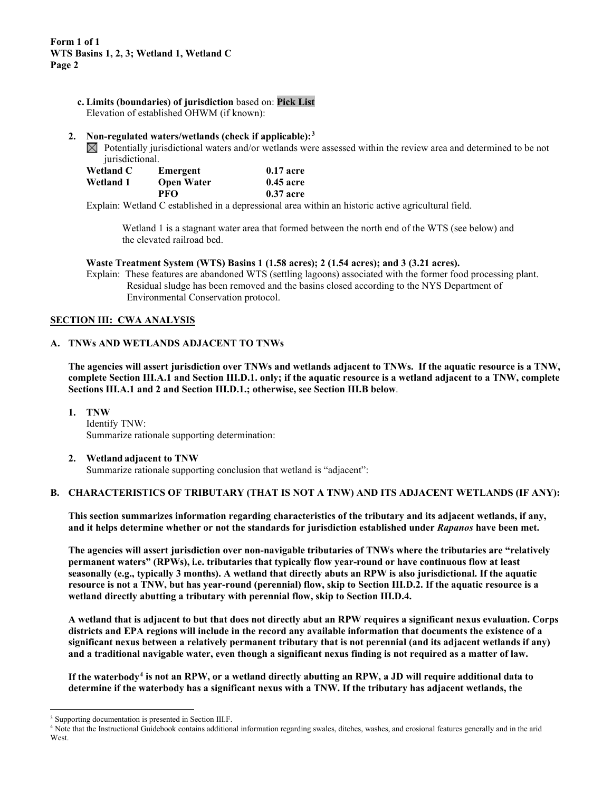**c. Limits (boundaries) of jurisdiction** based on: **Pick List** Elevation of established OHWM (if known):

#### **2. Non-regulated waters/wetlands (check if applicable):[3](#page-1-0)**

 $\boxtimes$  Potentially jurisdictional waters and/or wetlands were assessed within the review area and determined to be not jurisdictional.

| Wetland C | Emergent          | $0.17$ acre      |
|-----------|-------------------|------------------|
| Wetland 1 | <b>Open Water</b> | <b>0.45 acre</b> |
|           | PFO               | 0.37 acre        |

Explain: Wetland C established in a depressional area within an historic active agricultural field.

Wetland 1 is a stagnant water area that formed between the north end of the WTS (see below) and the elevated railroad bed.

**Waste Treatment System (WTS) Basins 1 (1.58 acres); 2 (1.54 acres); and 3 (3.21 acres).**

Explain: These features are abandoned WTS (settling lagoons) associated with the former food processing plant. Residual sludge has been removed and the basins closed according to the NYS Department of Environmental Conservation protocol.

#### **SECTION III: CWA ANALYSIS**

#### **A. TNWs AND WETLANDS ADJACENT TO TNWs**

**The agencies will assert jurisdiction over TNWs and wetlands adjacent to TNWs. If the aquatic resource is a TNW, complete Section III.A.1 and Section III.D.1. only; if the aquatic resource is a wetland adjacent to a TNW, complete Sections III.A.1 and 2 and Section III.D.1.; otherwise, see Section III.B below**.

**1. TNW**  Identify TNW: Summarize rationale supporting determination:

#### **2. Wetland adjacent to TNW**

Summarize rationale supporting conclusion that wetland is "adjacent":

## **B. CHARACTERISTICS OF TRIBUTARY (THAT IS NOT A TNW) AND ITS ADJACENT WETLANDS (IF ANY):**

**This section summarizes information regarding characteristics of the tributary and its adjacent wetlands, if any, and it helps determine whether or not the standards for jurisdiction established under** *Rapanos* **have been met.** 

**The agencies will assert jurisdiction over non-navigable tributaries of TNWs where the tributaries are "relatively permanent waters" (RPWs), i.e. tributaries that typically flow year-round or have continuous flow at least seasonally (e.g., typically 3 months). A wetland that directly abuts an RPW is also jurisdictional. If the aquatic resource is not a TNW, but has year-round (perennial) flow, skip to Section III.D.2. If the aquatic resource is a wetland directly abutting a tributary with perennial flow, skip to Section III.D.4.** 

**A wetland that is adjacent to but that does not directly abut an RPW requires a significant nexus evaluation. Corps districts and EPA regions will include in the record any available information that documents the existence of a significant nexus between a relatively permanent tributary that is not perennial (and its adjacent wetlands if any) and a traditional navigable water, even though a significant nexus finding is not required as a matter of law.**

**If the waterbody[4](#page-1-1) is not an RPW, or a wetland directly abutting an RPW, a JD will require additional data to determine if the waterbody has a significant nexus with a TNW. If the tributary has adjacent wetlands, the** 

<span id="page-1-0"></span><sup>&</sup>lt;sup>3</sup> Supporting documentation is presented in Section III.F.

<span id="page-1-1"></span><sup>4</sup> Note that the Instructional Guidebook contains additional information regarding swales, ditches, washes, and erosional features generally and in the arid **West**.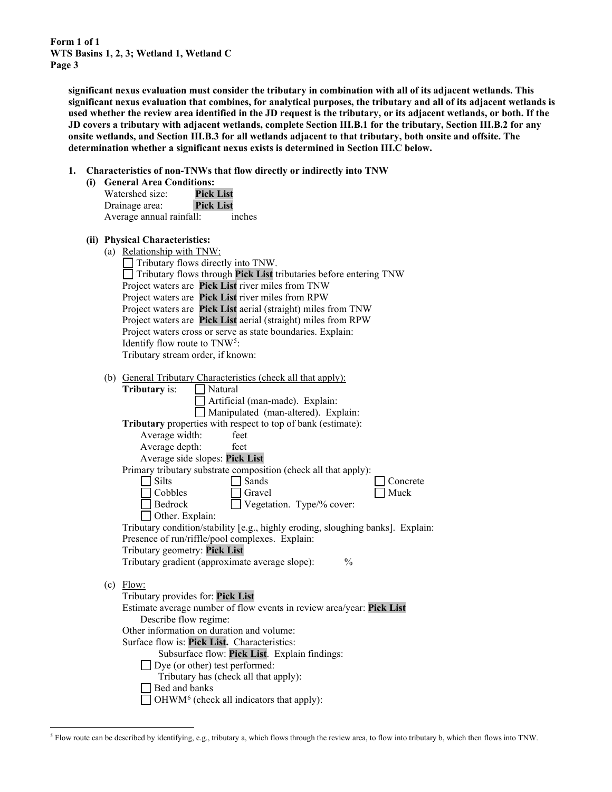> **significant nexus evaluation must consider the tributary in combination with all of its adjacent wetlands. This significant nexus evaluation that combines, for analytical purposes, the tributary and all of its adjacent wetlands is used whether the review area identified in the JD request is the tributary, or its adjacent wetlands, or both. If the JD covers a tributary with adjacent wetlands, complete Section III.B.1 for the tributary, Section III.B.2 for any onsite wetlands, and Section III.B.3 for all wetlands adjacent to that tributary, both onsite and offsite. The determination whether a significant nexus exists is determined in Section III.C below.**

**1. Characteristics of non-TNWs that flow directly or indirectly into TNW**

| (i) General Area Conditions: |
|------------------------------|
|------------------------------|

| Watershed size:          | <b>Pick List</b> |
|--------------------------|------------------|
| Drainage area:           | <b>Pick List</b> |
| Average annual rainfall: | inches           |

#### **(ii) Physical Characteristics:**

| (a) | Relationship with TNW:                                                          |
|-----|---------------------------------------------------------------------------------|
|     | Tributary flows directly into TNW.                                              |
|     | Tributary flows through Pick List tributaries before entering TNW               |
|     | Project waters are Pick List river miles from TNW                               |
|     | Project waters are Pick List river miles from RPW                               |
|     | Project waters are Pick List aerial (straight) miles from TNW                   |
|     | Project waters are Pick List aerial (straight) miles from RPW                   |
|     | Project waters cross or serve as state boundaries. Explain:                     |
|     | Identify flow route to TNW <sup>5</sup> :                                       |
|     | Tributary stream order, if known:                                               |
|     |                                                                                 |
|     | (b) General Tributary Characteristics (check all that apply):                   |
|     | Natural<br><b>Tributary</b> is:                                                 |
|     | Artificial (man-made). Explain:                                                 |
|     | Manipulated (man-altered). Explain:                                             |
|     | Tributary properties with respect to top of bank (estimate):                    |
|     | Average width:<br>feet                                                          |
|     | Average depth:<br>feet                                                          |
|     | Average side slopes: Pick List                                                  |
|     | Primary tributary substrate composition (check all that apply):                 |
|     | <b>Silts</b><br>Sands<br>Concrete                                               |
|     | Muck<br>Cobbles<br>Gravel                                                       |
|     | Bedrock<br>Vegetation. Type/% cover:                                            |
|     | Other. Explain:                                                                 |
|     | Tributary condition/stability [e.g., highly eroding, sloughing banks]. Explain: |
|     | Presence of run/riffle/pool complexes. Explain:                                 |
|     | Tributary geometry: Pick List                                                   |
|     | Tributary gradient (approximate average slope):<br>$\frac{0}{0}$                |
|     |                                                                                 |
|     | $(c)$ Flow:                                                                     |
|     | Tributary provides for: Pick List                                               |
|     | Estimate average number of flow events in review area/year: Pick List           |
|     | Describe flow regime:                                                           |
|     | Other information on duration and volume:                                       |
|     | Surface flow is: Pick List. Characteristics:                                    |
|     | Subsurface flow: Pick List. Explain findings:                                   |
|     | Dye (or other) test performed:                                                  |
|     | Tributary has (check all that apply):                                           |
|     | Bed and banks                                                                   |
|     | OHWM <sup>6</sup> (check all indicators that apply):                            |
|     |                                                                                 |

<span id="page-2-1"></span><span id="page-2-0"></span><sup>5</sup> Flow route can be described by identifying, e.g., tributary a, which flows through the review area, to flow into tributary b, which then flows into TNW.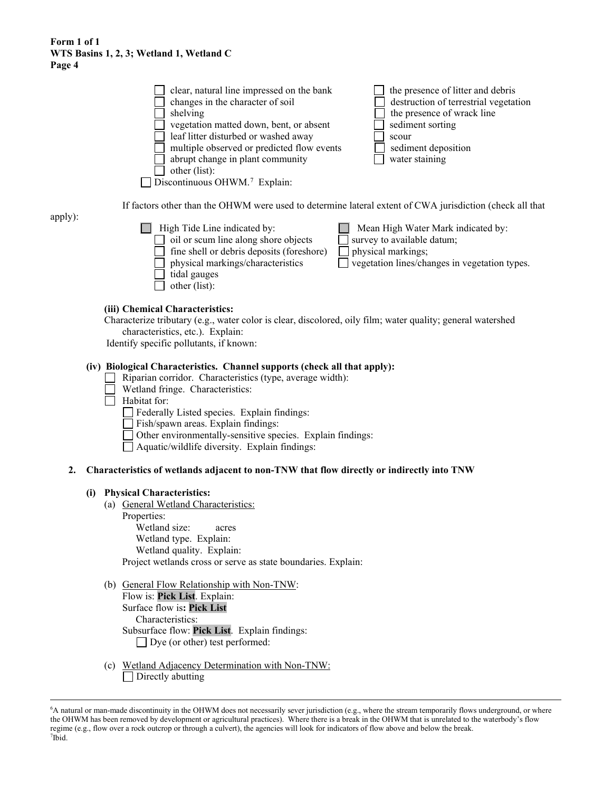| clear, natural line impressed on the bank<br>changes in the character of soil<br>shelving<br>vegetation matted down, bent, or absent<br>leaf litter disturbed or washed away<br>multiple observed or predicted flow events<br>abrupt change in plant community | the presence of litter and debris<br>destruction of terrestrial vegetation<br>the presence of wrack line<br>sediment sorting<br>scour<br>sediment deposition<br>water staining |
|----------------------------------------------------------------------------------------------------------------------------------------------------------------------------------------------------------------------------------------------------------------|--------------------------------------------------------------------------------------------------------------------------------------------------------------------------------|
| other (list):                                                                                                                                                                                                                                                  |                                                                                                                                                                                |
| $\Box$ Discontinuous OHWM. <sup>7</sup> Explain:                                                                                                                                                                                                               |                                                                                                                                                                                |

If factors other than the OHWM were used to determine lateral extent of CWA jurisdiction (check all that

apply):

| High Tide Line indicated by:<br>oil or scum line along shore objects | Mean High Water Mark indicated by:<br>survey to available datum; |
|----------------------------------------------------------------------|------------------------------------------------------------------|
| $\Box$ fine shell or debris deposits (foreshore)                     | physical markings;                                               |
| $\Box$ physical markings/characteristics                             | $\exists$ vegetation lines/changes in vegetation types.          |
| tidal gauges                                                         |                                                                  |
| other (list):                                                        |                                                                  |

#### **(iii) Chemical Characteristics:**

Characterize tributary (e.g., water color is clear, discolored, oily film; water quality; general watershed characteristics, etc.). Explain:

Identify specific pollutants, if known:

## **(iv) Biological Characteristics. Channel supports (check all that apply):**

- Riparian corridor. Characteristics (type, average width):
- Wetland fringe. Characteristics:
- $\Box$  Habitat for:
	- Federally Listed species. Explain findings:
	- Fish/spawn areas. Explain findings:
	- Other environmentally-sensitive species. Explain findings:
	- Aquatic/wildlife diversity. Explain findings:

#### **2. Characteristics of wetlands adjacent to non-TNW that flow directly or indirectly into TNW**

#### **(i) Physical Characteristics:**

- (a) General Wetland Characteristics:
	- Properties:

Wetland size: acres Wetland type. Explain: Wetland quality. Explain: Project wetlands cross or serve as state boundaries. Explain:

- (b) General Flow Relationship with Non-TNW: Flow is: **Pick List**. Explain: Surface flow is**: Pick List**  Characteristics: Subsurface flow: **Pick List**. Explain findings: Dye (or other) test performed:
- (c) Wetland Adjacency Determination with Non-TNW: Directly abutting

<span id="page-3-0"></span><sup>6</sup> A natural or man-made discontinuity in the OHWM does not necessarily sever jurisdiction (e.g., where the stream temporarily flows underground, or where the OHWM has been removed by development or agricultural practices). Where there is a break in the OHWM that is unrelated to the waterbody's flow regime (e.g., flow over a rock outcrop or through a culvert), the agencies will look for indicators of flow above and below the break. 7 Ibid.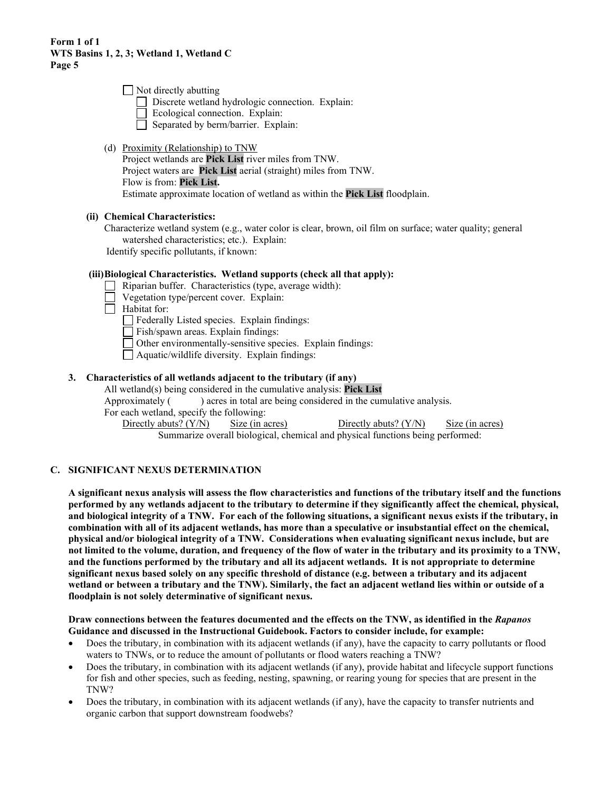| $\Box$ Not directly abutting                     |  |
|--------------------------------------------------|--|
| Discrete wetland hydrologic connection. Explain: |  |
| Ecological connection. Explain:                  |  |
| Separated by berm/barrier. Explain:              |  |

(d) Proximity (Relationship) to TNW Project wetlands are **Pick List** river miles from TNW. Project waters are **Pick List** aerial (straight) miles from TNW. Flow is from: **Pick List.** Estimate approximate location of wetland as within the **Pick List** floodplain.

## **(ii) Chemical Characteristics:**

Characterize wetland system (e.g., water color is clear, brown, oil film on surface; water quality; general watershed characteristics; etc.). Explain: Identify specific pollutants, if known:

## **(iii)Biological Characteristics. Wetland supports (check all that apply):**

- Riparian buffer. Characteristics (type, average width):
- Vegetation type/percent cover. Explain:
- $\Box$  Habitat for:

Federally Listed species. Explain findings:

Fish/spawn areas. Explain findings:

Other environmentally-sensitive species. Explain findings:

Aquatic/wildlife diversity. Explain findings:

## **3. Characteristics of all wetlands adjacent to the tributary (if any)**

All wetland(s) being considered in the cumulative analysis: **Pick List**

Approximately () acres in total are being considered in the cumulative analysis.

For each wetland, specify the following:<br>Directly abuts?  $(Y/N)$  Size (in acres)

Directly abuts?  $(Y/N)$  Size (in acres) Summarize overall biological, chemical and physical functions being performed:

# **C. SIGNIFICANT NEXUS DETERMINATION**

**A significant nexus analysis will assess the flow characteristics and functions of the tributary itself and the functions performed by any wetlands adjacent to the tributary to determine if they significantly affect the chemical, physical, and biological integrity of a TNW. For each of the following situations, a significant nexus exists if the tributary, in combination with all of its adjacent wetlands, has more than a speculative or insubstantial effect on the chemical, physical and/or biological integrity of a TNW. Considerations when evaluating significant nexus include, but are not limited to the volume, duration, and frequency of the flow of water in the tributary and its proximity to a TNW, and the functions performed by the tributary and all its adjacent wetlands. It is not appropriate to determine significant nexus based solely on any specific threshold of distance (e.g. between a tributary and its adjacent wetland or between a tributary and the TNW). Similarly, the fact an adjacent wetland lies within or outside of a floodplain is not solely determinative of significant nexus.** 

**Draw connections between the features documented and the effects on the TNW, as identified in the** *Rapanos* **Guidance and discussed in the Instructional Guidebook. Factors to consider include, for example:**

- Does the tributary, in combination with its adjacent wetlands (if any), have the capacity to carry pollutants or flood waters to TNWs, or to reduce the amount of pollutants or flood waters reaching a TNW?
- Does the tributary, in combination with its adjacent wetlands (if any), provide habitat and lifecycle support functions for fish and other species, such as feeding, nesting, spawning, or rearing young for species that are present in the TNW?
- Does the tributary, in combination with its adjacent wetlands (if any), have the capacity to transfer nutrients and organic carbon that support downstream foodwebs?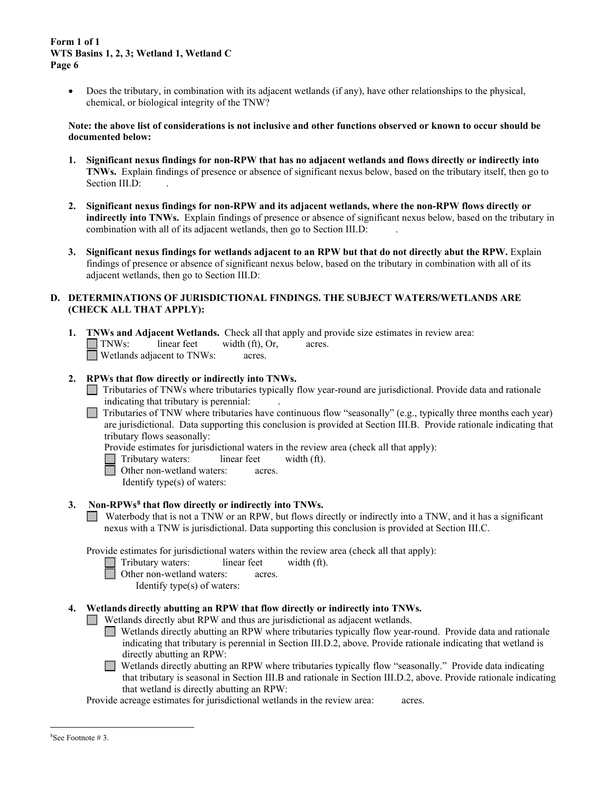• Does the tributary, in combination with its adjacent wetlands (if any), have other relationships to the physical, chemical, or biological integrity of the TNW?

**Note: the above list of considerations is not inclusive and other functions observed or known to occur should be documented below:**

- **1. Significant nexus findings for non-RPW that has no adjacent wetlands and flows directly or indirectly into TNWs.** Explain findings of presence or absence of significant nexus below, based on the tributary itself, then go to Section III.D:
- **2. Significant nexus findings for non-RPW and its adjacent wetlands, where the non-RPW flows directly or indirectly into TNWs.** Explain findings of presence or absence of significant nexus below, based on the tributary in combination with all of its adjacent wetlands, then go to Section III.D:
- **3. Significant nexus findings for wetlands adjacent to an RPW but that do not directly abut the RPW.** Explain findings of presence or absence of significant nexus below, based on the tributary in combination with all of its adjacent wetlands, then go to Section III.D:

## **D. DETERMINATIONS OF JURISDICTIONAL FINDINGS. THE SUBJECT WATERS/WETLANDS ARE (CHECK ALL THAT APPLY):**

- **1. TNWs and Adjacent Wetlands.** Check all that apply and provide size estimates in review area:<br>
TNWs: linear feet width (ft), Or, acres.  $linear feet \t width (ft), Or, \t acres.$ Wetlands adjacent to TNWs: acres.
- **2. RPWs that flow directly or indirectly into TNWs.**
	- Tributaries of TNWs where tributaries typically flow year-round are jurisdictional. Provide data and rationale indicating that tributary is perennial: .
	- Tributaries of TNW where tributaries have continuous flow "seasonally" (e.g., typically three months each year)  $\Box$ are jurisdictional. Data supporting this conclusion is provided at Section III.B. Provide rationale indicating that tributary flows seasonally:
		- Provide estimates for jurisdictional waters in the review area (check all that apply):
		- Tributary waters: linear feet width (ft).
		- **Other non-wetland waters: acres.** 
			- Identify type(s) of waters:
- **3. Non-RPWs[8](#page-5-0) that flow directly or indirectly into TNWs.**
	- Waterbody that is not a TNW or an RPW, but flows directly or indirectly into a TNW, and it has a significant nexus with a TNW is jurisdictional. Data supporting this conclusion is provided at Section III.C.

Provide estimates for jurisdictional waters within the review area (check all that apply):

- Tributary waters: linear feet width (ft).
- □ Other non-wetland waters: acres.
	- Identify type(s) of waters:

## **4. Wetlands directly abutting an RPW that flow directly or indirectly into TNWs.**

- Wetlands directly abut RPW and thus are jurisdictional as adjacent wetlands.
	- Wetlands directly abutting an RPW where tributaries typically flow year-round. Provide data and rationale indicating that tributary is perennial in Section III.D.2, above. Provide rationale indicating that wetland is directly abutting an RPW:
	- Wetlands directly abutting an RPW where tributaries typically flow "seasonally." Provide data indicating  $\Box$ that tributary is seasonal in Section III.B and rationale in Section III.D.2, above. Provide rationale indicating that wetland is directly abutting an RPW:

<span id="page-5-0"></span>Provide acreage estimates for jurisdictional wetlands in the review area: acres.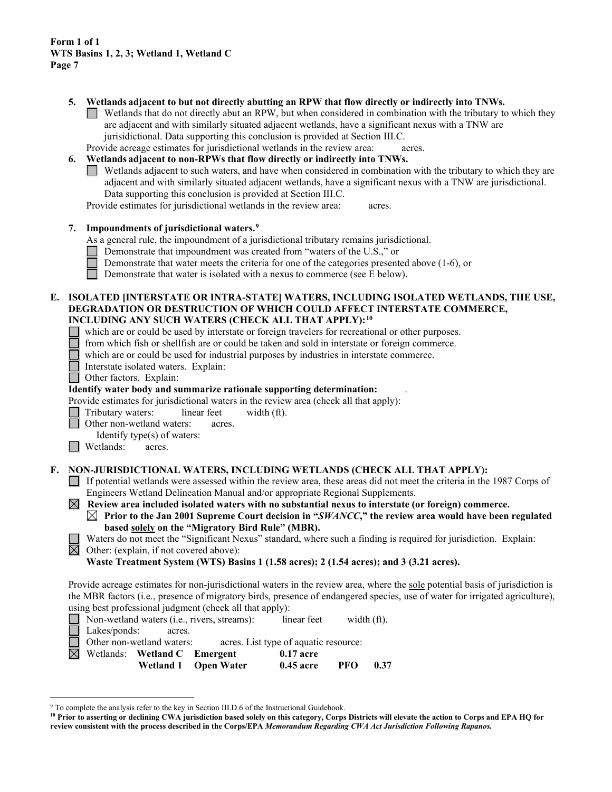- **5. Wetlands adjacent to but not directly abutting an RPW that flow directly or indirectly into TNWs.**
	- $\Box$  Wetlands that do not directly abut an RPW, but when considered in combination with the tributary to which they are adjacent and with similarly situated adjacent wetlands, have a significant nexus with a TNW are jurisidictional. Data supporting this conclusion is provided at Section III.C.
	- Provide acreage estimates for jurisdictional wetlands in the review area: acres.

# **6. Wetlands adjacent to non-RPWs that flow directly or indirectly into TNWs.**

Wetlands adjacent to such waters, and have when considered in combination with the tributary to which they are adjacent and with similarly situated adjacent wetlands, have a significant nexus with a TNW are jurisdictional. Data supporting this conclusion is provided at Section III.C.

Provide estimates for jurisdictional wetlands in the review area: acres.

#### **7. Impoundments of jurisdictional waters. [9](#page-6-0)**

As a general rule, the impoundment of a jurisdictional tributary remains jurisdictional.

- Demonstrate that impoundment was created from "waters of the U.S.," or
- Demonstrate that water meets the criteria for one of the categories presented above (1-6), or
- Demonstrate that water is isolated with a nexus to commerce (see E below).

#### **E. ISOLATED [INTERSTATE OR INTRA-STATE] WATERS, INCLUDING ISOLATED WETLANDS, THE USE, DEGRADATION OR DESTRUCTION OF WHICH COULD AFFECT INTERSTATE COMMERCE, INCLUDING ANY SUCH WATERS (CHECK ALL THAT APPLY):[10](#page-6-1)**

- which are or could be used by interstate or foreign travelers for recreational or other purposes.
- from which fish or shellfish are or could be taken and sold in interstate or foreign commerce.
- which are or could be used for industrial purposes by industries in interstate commerce.
- Interstate isolated waters.Explain:
- Other factors. Explain:

## **Identify water body and summarize rationale supporting determination:** .

Provide estimates for jurisdictional waters in the review area (check all that apply):

- Tributary waters: linear feet width (ft).
- Other non-wetland waters: acres.
- Identify type(s) of waters:
- **Netlands:** acres.

## **F. NON-JURISDICTIONAL WATERS, INCLUDING WETLANDS (CHECK ALL THAT APPLY):**

- If potential wetlands were assessed within the review area, these areas did not meet the criteria in the 1987 Corps of Engineers Wetland Delineation Manual and/or appropriate Regional Supplements.
- $\boxtimes$  Review area included isolated waters with no substantial nexus to interstate (or foreign) commerce. **Prior to the Jan 2001 Supreme Court decision in "***SWANCC***," the review area would have been regulated based solely on the "Migratory Bird Rule" (MBR).**

Waters do not meet the "Significant Nexus" standard, where such a finding is required for jurisdiction. Explain:

 $\boxtimes$  Other: (explain, if not covered above):

**Waste Treatment System (WTS) Basins 1 (1.58 acres); 2 (1.54 acres); and 3 (3.21 acres).**

Provide acreage estimates for non-jurisdictional waters in the review area, where the sole potential basis of jurisdiction is the MBR factors (i.e., presence of migratory birds, presence of endangered species, use of water for irrigated agriculture), using best professional judgment (check all that apply):

|  |                     |                                          | Wetland 1 Open Water                               | $0.45$ acre                           | PFO         | 0.37 |
|--|---------------------|------------------------------------------|----------------------------------------------------|---------------------------------------|-------------|------|
|  |                     | $\boxtimes$ Wetlands: Wetland C Emergent |                                                    | $0.17$ acre                           |             |      |
|  |                     | Other non-wetland waters:                |                                                    | acres. List type of aquatic resource: |             |      |
|  | $\Box$ Lakes/ponds: | acres.                                   |                                                    |                                       |             |      |
|  |                     |                                          | $\Box$ Non-wetland waters (i.e., rivers, streams): | linear feet                           | width (ft). |      |

<span id="page-6-0"></span><sup>&</sup>lt;sup>9</sup> To complete the analysis refer to the key in Section III.D.6 of the Instructional Guidebook.

<span id="page-6-1"></span>**<sup>10</sup> Prior to asserting or declining CWA jurisdiction based solely on this category, Corps Districts will elevate the action to Corps and EPA HQ for review consistent with the process described in the Corps/EPA** *Memorandum Regarding CWA Act Jurisdiction Following Rapanos.*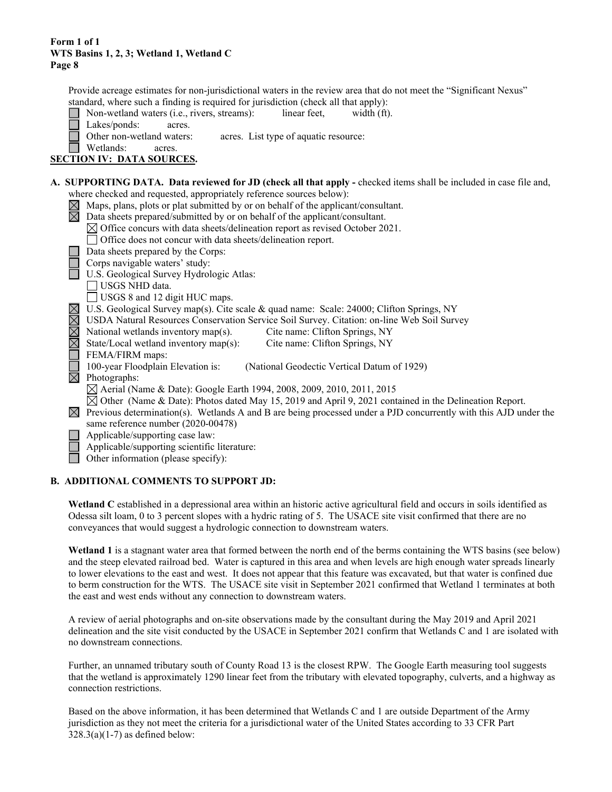Provide acreage estimates for non-jurisdictional waters in the review area that do not meet the "Significant Nexus" standard, where such a finding is required for jurisdiction (check all that apply):

| Non-wetland waters ( <i>i.e.</i> , rivers, streams):<br>linear feet,<br>width (ft).                                                                                                                                                                                                                                |
|--------------------------------------------------------------------------------------------------------------------------------------------------------------------------------------------------------------------------------------------------------------------------------------------------------------------|
| Lakes/ponds:<br>acres.                                                                                                                                                                                                                                                                                             |
| Other non-wetland waters:<br>acres. List type of aquatic resource:                                                                                                                                                                                                                                                 |
| Wetlands:<br>acres.                                                                                                                                                                                                                                                                                                |
| <b>SECTION IV: DATA SOURCES.</b>                                                                                                                                                                                                                                                                                   |
|                                                                                                                                                                                                                                                                                                                    |
| A. SUPPORTING DATA. Data reviewed for JD (check all that apply - checked items shall be included in case file and,                                                                                                                                                                                                 |
| where checked and requested, appropriately reference sources below):                                                                                                                                                                                                                                               |
| $\sum_{i=1}^{n} \frac{1}{i}$ and $\sum_{i=1}^{n} \frac{1}{i}$ and $\sum_{i=1}^{n} \frac{1}{i}$ and $\sum_{i=1}^{n} \frac{1}{i}$ and $\sum_{i=1}^{n} \frac{1}{i}$ and $\sum_{i=1}^{n} \frac{1}{i}$ and $\sum_{i=1}^{n} \frac{1}{i}$ and $\sum_{i=1}^{n} \frac{1}{i}$ and $\sum_{i=1}^{n} \frac{1}{i}$ and $\sum_{i$ |

|             | Maps, plans, plots or plat submitted by or on behalf of the applicant/consultant.                                 |
|-------------|-------------------------------------------------------------------------------------------------------------------|
|             | Data sheets prepared/submitted by or on behalf of the applicant/consultant.                                       |
|             | $\boxtimes$ Office concurs with data sheets/delineation report as revised October 2021.                           |
|             | Office does not concur with data sheets/delineation report.                                                       |
|             | Data sheets prepared by the Corps:                                                                                |
|             | Corps navigable waters' study:                                                                                    |
|             | U.S. Geological Survey Hydrologic Atlas:                                                                          |
|             | USGS NHD data.                                                                                                    |
|             | USGS 8 and 12 digit HUC maps.                                                                                     |
|             | U.S. Geological Survey map(s). Cite scale & quad name: Scale: 24000; Clifton Springs, NY                          |
|             | USDA Natural Resources Conservation Service Soil Survey. Citation: on-line Web Soil Survey                        |
|             | National wetlands inventory map(s).<br>Cite name: Clifton Springs, NY                                             |
| $\boxtimes$ | State/Local wetland inventory map(s):<br>Cite name: Clifton Springs, NY                                           |
|             | FEMA/FIRM maps:                                                                                                   |
|             | 100-year Floodplain Elevation is:<br>(National Geodectic Vertical Datum of 1929)                                  |
| $\boxtimes$ | Photographs:                                                                                                      |
|             |                                                                                                                   |
|             | $\boxtimes$ Aerial (Name & Date): Google Earth 1994, 2008, 2009, 2010, 2011, 2015                                 |
|             | $\boxtimes$ Other (Name & Date): Photos dated May 15, 2019 and April 9, 2021 contained in the Delineation Report. |
| $\bowtie$   | Previous determination(s). Wetlands A and B are being processed under a PJD concurrently with this AJD under the  |
|             | same reference number (2020-00478)                                                                                |
|             | Applicable/supporting case law:                                                                                   |
|             | Applicable/supporting scientific literature:                                                                      |
|             | Other information (please specify):                                                                               |

## **B. ADDITIONAL COMMENTS TO SUPPORT JD:**

**Wetland C** established in a depressional area within an historic active agricultural field and occurs in soils identified as Odessa silt loam, 0 to 3 percent slopes with a hydric rating of 5. The USACE site visit confirmed that there are no conveyances that would suggest a hydrologic connection to downstream waters.

**Wetland 1** is a stagnant water area that formed between the north end of the berms containing the WTS basins (see below) and the steep elevated railroad bed. Water is captured in this area and when levels are high enough water spreads linearly to lower elevations to the east and west. It does not appear that this feature was excavated, but that water is confined due to berm construction for the WTS. The USACE site visit in September 2021 confirmed that Wetland 1 terminates at both the east and west ends without any connection to downstream waters.

A review of aerial photographs and on-site observations made by the consultant during the May 2019 and April 2021 delineation and the site visit conducted by the USACE in September 2021 confirm that Wetlands C and 1 are isolated with no downstream connections.

Further, an unnamed tributary south of County Road 13 is the closest RPW. The Google Earth measuring tool suggests that the wetland is approximately 1290 linear feet from the tributary with elevated topography, culverts, and a highway as connection restrictions.

Based on the above information, it has been determined that Wetlands C and 1 are outside Department of the Army jurisdiction as they not meet the criteria for a jurisdictional water of the United States according to 33 CFR Part  $328.3(a)(1-7)$  as defined below: